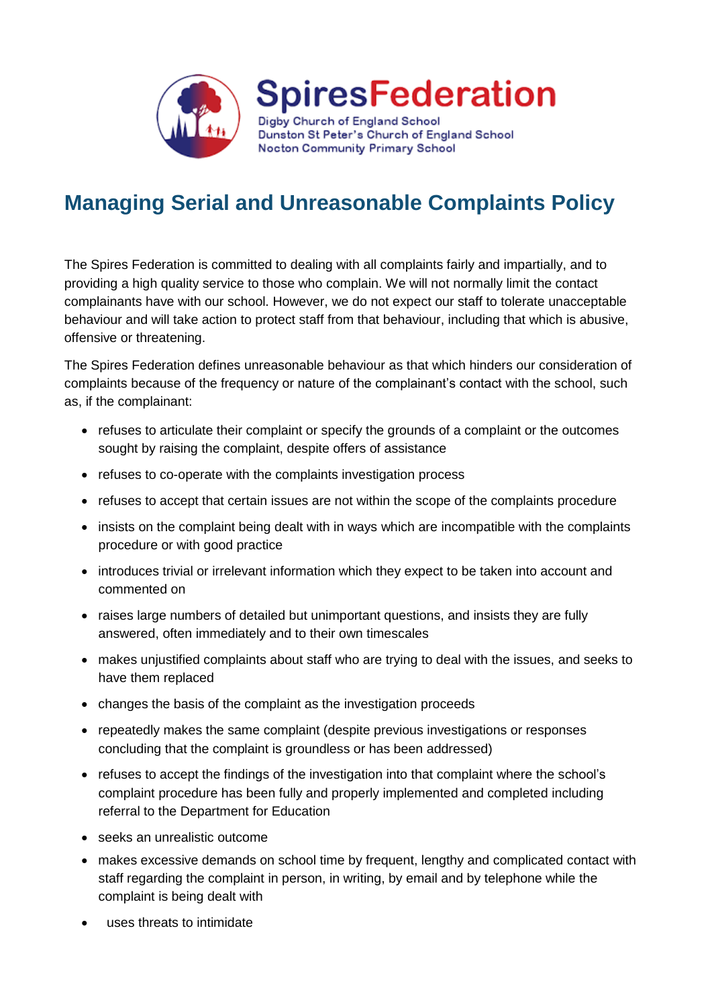

**SpiresFederation** 

Digby Church of England School Dunston St Peter's Church of England School Nocton Community Primary School

## **Managing Serial and Unreasonable Complaints Policy**

The Spires Federation is committed to dealing with all complaints fairly and impartially, and to providing a high quality service to those who complain. We will not normally limit the contact complainants have with our school. However, we do not expect our staff to tolerate unacceptable behaviour and will take action to protect staff from that behaviour, including that which is abusive, offensive or threatening.

The Spires Federation defines unreasonable behaviour as that which hinders our consideration of complaints because of the frequency or nature of the complainant's contact with the school, such as, if the complainant:

- refuses to articulate their complaint or specify the grounds of a complaint or the outcomes sought by raising the complaint, despite offers of assistance
- refuses to co-operate with the complaints investigation process
- refuses to accept that certain issues are not within the scope of the complaints procedure
- insists on the complaint being dealt with in ways which are incompatible with the complaints procedure or with good practice
- introduces trivial or irrelevant information which they expect to be taken into account and commented on
- raises large numbers of detailed but unimportant questions, and insists they are fully answered, often immediately and to their own timescales
- makes unjustified complaints about staff who are trying to deal with the issues, and seeks to have them replaced
- changes the basis of the complaint as the investigation proceeds
- repeatedly makes the same complaint (despite previous investigations or responses concluding that the complaint is groundless or has been addressed)
- refuses to accept the findings of the investigation into that complaint where the school's complaint procedure has been fully and properly implemented and completed including referral to the Department for Education
- seeks an unrealistic outcome
- makes excessive demands on school time by frequent, lengthy and complicated contact with staff regarding the complaint in person, in writing, by email and by telephone while the complaint is being dealt with
- uses threats to intimidate